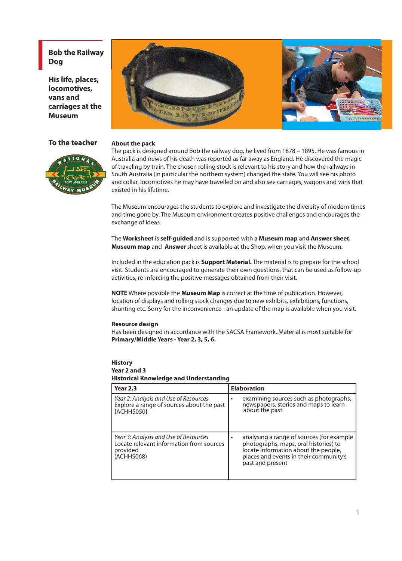**Bob the Railway Dog**

**His life, places, locomotives, vans and carriages at the Museum**



#### **To the teacher About the pack**



The pack is designed around Bob the railway dog, he lived from 1878 – 1895. He was famous in Australia and news of his death was reported as far away as England. He discovered the magic of traveling by train. The chosen rolling stock is relevant to his story and how the railways in South Australia (in particular the northern system) changed the state. You will see his photo and collar, locomotives he may have travelled on and also see carriages, wagons and vans that existed in his lifetime.

The Museum encourages the students to explore and investigate the diversity of modern times and time gone by. The Museum environment creates positive challenges and encourages the exchange of ideas.

The **Worksheet** is **self-guided** and is supported with a **Museum map** and **Answer sheet**. **Museum map** and **Answer** sheet is available at the Shop, when you visit the Museum.

Included in the education pack is **Support Material.** The material is to prepare for the school visit. Students are encouraged to generate their own questions, that can be used as follow-up activities, re-inforcing the positive messages obtained from their visit.

**NOTE** Where possible the **Museum Map** is correct at the time of publication. However, location of displays and rolling stock changes due to new exhibits, exhibitions, functions, shunting etc. Sorry for the inconvenience - an update of the map is available when you visit.

#### **Resource design**

Has been designed in accordance with the SACSA Framework. Material is most suitable for **Primary/Middle Years - Year 2, 3, 5, 6.**

## **History**

#### **Year 2 and 3 Historical Knowledge and Understanding**

| <b>Year 2,3</b>                                                                                             | <b>Elaboration</b>                                                                                                                                                                       |  |  |
|-------------------------------------------------------------------------------------------------------------|------------------------------------------------------------------------------------------------------------------------------------------------------------------------------------------|--|--|
| Year 2: Analysis and Use of Resources<br>Explore a range of sources about the past<br>(ACHHS050)            | examining sources such as photographs,<br>newspapers, stories and maps to learn<br>about the past                                                                                        |  |  |
| Year 3: Analysis and Use of Resources<br>Locate relevant information from sources<br>provided<br>(ACHHS068) | analysing a range of sources (for example<br>photographs, maps, oral histories) to<br>locate information about the people,<br>places and events in their community's<br>past and present |  |  |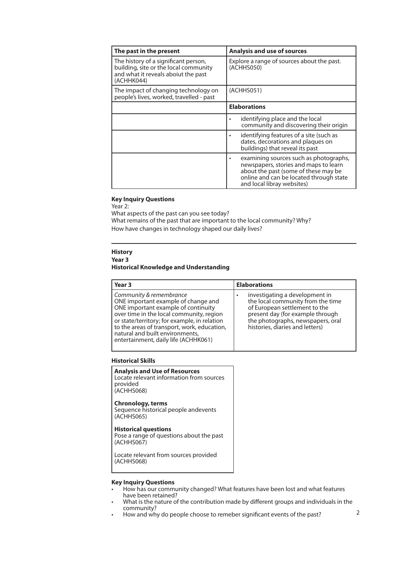| The past in the present                                                                                                            | <b>Analysis and use of sources</b>                                                                                                                                                               |  |  |
|------------------------------------------------------------------------------------------------------------------------------------|--------------------------------------------------------------------------------------------------------------------------------------------------------------------------------------------------|--|--|
| The history of a significant person,<br>building, site or the local community<br>and what it reveals aboiut the past<br>(ACHHK044) | Explore a range of sources about the past.<br>(ACHHS050)                                                                                                                                         |  |  |
| The impact of changing technology on<br>people's lives, worked, travelled - past                                                   | (ACHHS051)                                                                                                                                                                                       |  |  |
|                                                                                                                                    | <b>Elaborations</b>                                                                                                                                                                              |  |  |
|                                                                                                                                    | identifying place and the local<br>community and discovering their origin                                                                                                                        |  |  |
|                                                                                                                                    | identifying features of a site (such as<br>dates, decorations and plaques on<br>buildings) that reveal its past                                                                                  |  |  |
|                                                                                                                                    | examining sources such as photographs,<br>newspapers, stories and maps to learn<br>about the past (some of these may be<br>online and can be located through state<br>and local libray websites) |  |  |

### **Key Inquiry Questions**

Year 2:

What aspects of the past can you see today? What remains of the past that are important to the local community? Why? How have changes in technology shaped our daily lives?

#### **History**

#### **Year 3 Historical Knowledge and Understanding**

| Year 3                                                                                                                                                                                                                                                                                                                      | <b>Elaborations</b>                                                                                                                                                                                                   |
|-----------------------------------------------------------------------------------------------------------------------------------------------------------------------------------------------------------------------------------------------------------------------------------------------------------------------------|-----------------------------------------------------------------------------------------------------------------------------------------------------------------------------------------------------------------------|
| Community & remembrance<br>ONE important example of change and<br>ONE important example of continuity<br>over time in the local community, region<br>or state/territory; for example, in relation<br>to the areas of transport, work, education,<br>natural and built environments,<br>entertainment, daily life (ACHHK061) | investigating a development in<br>٠<br>the local community from the time<br>of European settlement to the<br>present day (for example through<br>the photographs, newspapers, oral<br>histories, diaries and letters) |

#### **Historical Skills**

**Analysis and Use of Resources** Locate relevant information from sources provided (ACHHS068)

### **Chronology, terms**

Sequence historical people andevents (ACHHS065)

#### **Historical questions**

Pose a range of questions about the past (ACHHS067)

Locate relevant from sources provided (ACHHS068)

#### **Key Inquiry Questions**

- How has our community changed? What features have been lost and what features have been retained?
- What is the nature of the contribution made by different groups and individuals in the community?
- How and why do people choose to remeber significant events of the past?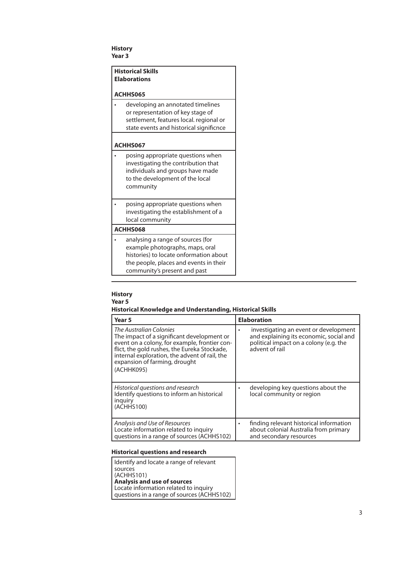#### **History Year 3**

|          | <b>Historical Skills</b><br><b>Elaborations</b>                                                                                                                                          |  |  |
|----------|------------------------------------------------------------------------------------------------------------------------------------------------------------------------------------------|--|--|
|          | ACHHS065                                                                                                                                                                                 |  |  |
|          | developing an annotated timelines<br>or representation of key stage of<br>settlement, features local. regional or<br>state events and historical significnce                             |  |  |
|          | ACHHS067                                                                                                                                                                                 |  |  |
|          | posing appropriate questions when<br>investigating the contribution that<br>individuals and groups have made<br>to the development of the local<br>community                             |  |  |
|          | posing appropriate questions when<br>investigating the establishment of a<br>local community                                                                                             |  |  |
| ACHHS068 |                                                                                                                                                                                          |  |  |
|          | analysing a range of sources (for<br>example photographs, maps, oral<br>histories) to locate onformation about<br>the people, places and events in their<br>community's present and past |  |  |

### **History Year 5 Historical Knowledge and Understanding, Historical Skills**

| Year <sub>5</sub>                                                                                                                                                                                                                                                      | <b>Elaboration</b>                                                                                                                                |  |  |
|------------------------------------------------------------------------------------------------------------------------------------------------------------------------------------------------------------------------------------------------------------------------|---------------------------------------------------------------------------------------------------------------------------------------------------|--|--|
| The Australian Colonies<br>The impact of a significant development or<br>event on a colony, for example, frontier con-<br>flict, the gold rushes, the Eureka Stockade,<br>internal exploration, the advent of rail, the<br>expansion of farming, drought<br>(ACHHK095) | investigating an event or development<br>٠<br>and explaining its economic, social and<br>political impact on a colony (e.g. the<br>advent of rail |  |  |
| Historical questions and research<br>Identify questions to inform an historical<br>inguiry<br>(ACHHS100)                                                                                                                                                               | developing key questions about the<br>٠<br>local community or region                                                                              |  |  |
| Analysis and Use of Resources<br>Locate information related to inquiry<br>questions in a range of sources (ACHHS102)                                                                                                                                                   | finding relevant historical information<br>٠<br>about colonial Australia from primary<br>and secondary resources                                  |  |  |

### **Historical questions and research**

| Identify and locate a range of relevant    |
|--------------------------------------------|
| sources                                    |
| (ACHHS101)                                 |
| <b>Analysis and use of sources</b>         |
| Locate information related to inquiry      |
| questions in a range of sources (ACHHS102) |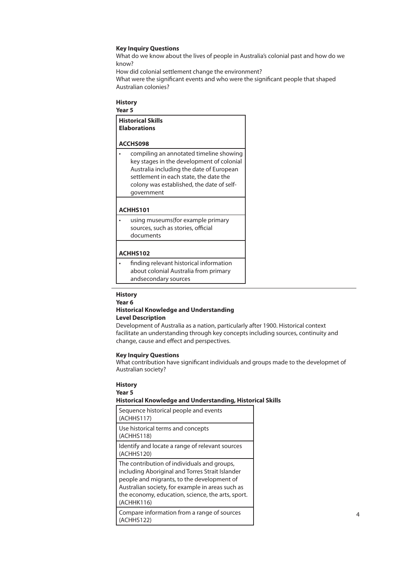#### **Key Inquiry Questions**

What do we know about the lives of people in Australia's colonial past and how do we know?

How did colonial settlement change the environment?

What were the significant events and who were the significant people that shaped Australian colonies?

#### **History**

**Year 5**

| <b>Historical Skills</b><br><b>Elaborations</b><br>ACCHS098                                                                                                                                                                           |  |  |  |
|---------------------------------------------------------------------------------------------------------------------------------------------------------------------------------------------------------------------------------------|--|--|--|
|                                                                                                                                                                                                                                       |  |  |  |
| compiling an annotated timeline showing<br>key stages in the development of colonial<br>Australia including the date of European<br>settlement in each state, the date the<br>colony was established, the date of self-<br>qovernment |  |  |  |
|                                                                                                                                                                                                                                       |  |  |  |
| ACHHS101                                                                                                                                                                                                                              |  |  |  |
| using museums(for example primary                                                                                                                                                                                                     |  |  |  |

sources, such as stories, official documents

#### **ACHHS102**

• finding relevant historical information about colonial Australia from primary andsecondary sources

#### **History**

**Year 6**

#### **Historical Knowledge and Understanding Level Description**

Development of Australia as a nation, particularly after 1900. Historical context facilitate an understanding through key concepts including sources, continuity and change, cause and effect and perspectives.

#### **Key Inquiry Questions**

What contribution have significant individuals and groups made to the developmet of Australian society?

#### **History**

#### **Year 5**

#### **Historical Knowledge and Understanding, Historical Skills**

| Sequence historical people and events<br>(ACHHS117)                                                                                                                                                                                                                 |
|---------------------------------------------------------------------------------------------------------------------------------------------------------------------------------------------------------------------------------------------------------------------|
| Use historical terms and concepts<br>(ACHHS118)                                                                                                                                                                                                                     |
| Identify and locate a range of relevant sources<br>(ACHHS120)                                                                                                                                                                                                       |
| The contribution of individuals and groups,<br>including Aboriginal and Torres Strait Islander<br>people and migrants, to the development of<br>Australian society, for example in areas such as<br>the economy, education, science, the arts, sport.<br>(ACHHK116) |
| Compare information from a range of sources<br>(ACHHS122)                                                                                                                                                                                                           |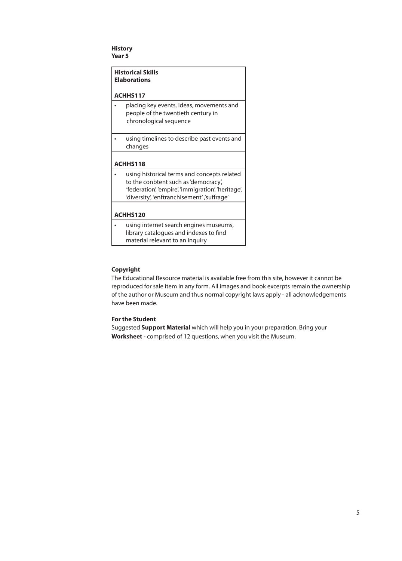#### **History Year 5**

|                 | <b>Historical Skills</b><br><b>Elaborations</b>                                                                                                                                          |  |  |  |
|-----------------|------------------------------------------------------------------------------------------------------------------------------------------------------------------------------------------|--|--|--|
|                 | ACHHS117                                                                                                                                                                                 |  |  |  |
|                 | placing key events, ideas, movements and<br>people of the twentieth century in<br>chronological sequence                                                                                 |  |  |  |
|                 | using timelines to describe past events and<br>changes                                                                                                                                   |  |  |  |
|                 |                                                                                                                                                                                          |  |  |  |
| <b>ACHHS118</b> |                                                                                                                                                                                          |  |  |  |
|                 | using historical terms and concepts related<br>to the conbtent such as 'democracy',<br>'federation', 'empire', 'immigration', 'heritage',<br>'diversity', 'enftranchisement' ,'suffrage' |  |  |  |
|                 |                                                                                                                                                                                          |  |  |  |
|                 | <b>ACHHS120</b>                                                                                                                                                                          |  |  |  |
|                 | using internet search engines museums,<br>library catalogues and indexes to find<br>material relevant to an inquiry                                                                      |  |  |  |

#### **Copyright**

The Educational Resource material is available free from this site, however it cannot be reproduced for sale item in any form. All images and book excerpts remain the ownership of the author or Museum and thus normal copyright laws apply - all acknowledgements have been made.

#### **For the Student**

Suggested **Support Material** which will help you in your preparation. Bring your **Worksheet** - comprised of 12 questions, when you visit the Museum.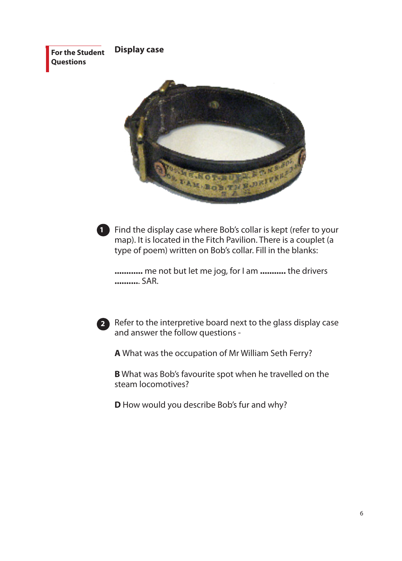**For the Student Questions Display case**



Find the display case where Bob's collar is kept (refer to your **1** map). It is located in the Fitch Pavilion. There is a couplet (a type of poem) written on Bob's collar. Fill in the blanks:

**............** me not but let me jog, for I am **...........** the drivers **..........**. SAR.



Refer to the interpretive board next to the glass display case **2** and answer the follow questions -

**A** What was the occupation of Mr William Seth Ferry?

**B** What was Bob's favourite spot when he travelled on the steam locomotives?

**D** How would you describe Bob's fur and why?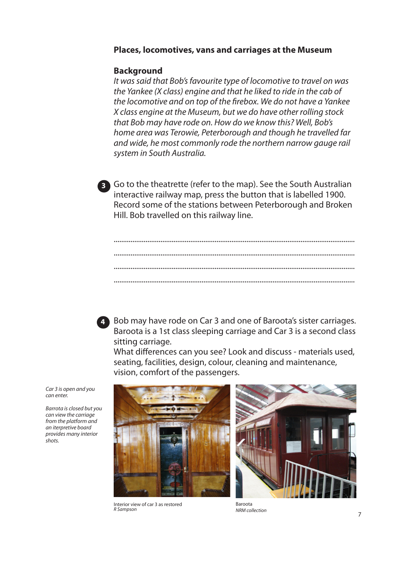# **Places, locomotives, vans and carriages at the Museum**

### **Background**

*It was said that Bob's favourite type of locomotive to travel on was the Yankee (X class) engine and that he liked to ride in the cab of the locomotive and on top of the firebox. We do not have a Yankee X class engine at the Museum, but we do have other rolling stock that Bob may have rode on. How do we know this? Well, Bob's home area was Terowie, Peterborough and though he travelled far and wide, he most commonly rode the northern narrow gauge rail system in South Australia.*



Go to the theatrette (refer to the map). See the South Australian interactive railway map, press the button that is labelled 1900. Record some of the stations between Peterborough and Broken Hill. Bob travelled on this railway line.



Bob may have rode on Car 3 and one of Baroota's sister carriages. Baroota is a 1st class sleeping carriage and Car 3 is a second class sitting carriage.

What differences can you see? Look and discuss - materials used, seating, facilities, design, colour, cleaning and maintenance, vision, comfort of the passengers.

*Car 3 is open and you can enter.*

*Barrota is closed but you can view the carriage from the platform and an iterpretive board provides many interior shots.* 



Interior view of car 3 as restored *R Sampson*



Baroota *NRM collection*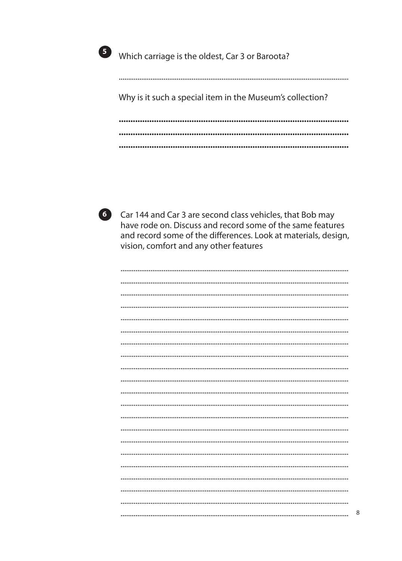

5 Which carriage is the oldest, Car 3 or Baroota?

Why is it such a special item in the Museum's collection? 



6 Car 144 and Car 3 are second class vehicles, that Bob may have rode on. Discuss and record some of the same features and record some of the differences. Look at materials, design, vision, comfort and any other features

 $\,8\,$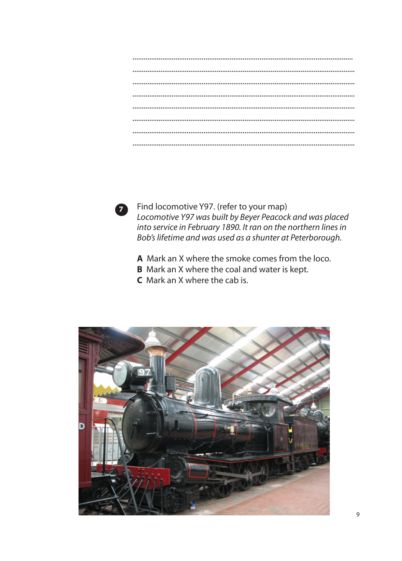

Find locomotive Y97. (refer to your map) Locomotive Y97 was built by Beyer Peacock and was placed into service in February 1890. It ran on the northern lines in Bob's lifetime and was used as a shunter at Peterborough.

- A Mark an X where the smoke comes from the loco.
- **B** Mark an X where the coal and water is kept.
- **C** Mark an X where the cab is.

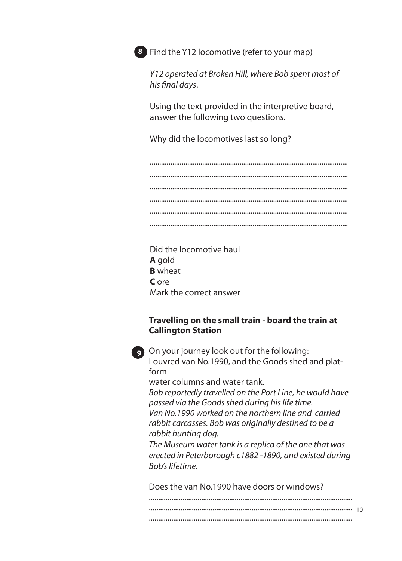

**8** Find the Y12 locomotive (refer to your map)

*Y12 operated at Broken Hill, where Bob spent most of his final days*.

Using the text provided in the interpretive board, answer the following two questions.

Why did the locomotives last so long?

.......................................................................................................... .......................................................................................................... .......................................................................................................... .......................................................................................................... .......................................................................................................... ..........................................................................................................

Did the locomotive haul **A** gold **B** wheat **C** ore Mark the correct answer

# **Travelling on the small train - board the train at Callington Station**



**129** On your journey look out for the following: Louvred van No.1990, and the Goods shed and platform

water columns and water tank.

*Bob reportedly travelled on the Port Line, he would have passed via the Goods shed during his life time. Van No.1990 worked on the northern line and carried rabbit carcasses. Bob was originally destined to be a rabbit hunting dog.* 

*The Museum water tank is a replica of the one that was erected in Peterborough c1882 -1890, and existed during Bob's lifetime.*

Does the van No.1990 have doors or windows?